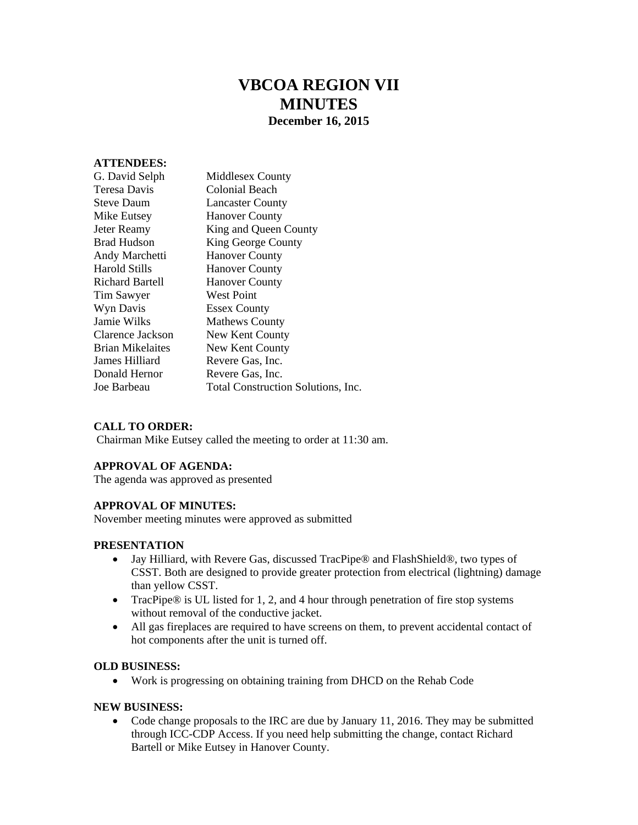# **VBCOA REGION VII MINUTES December 16, 2015**

# **ATTENDEES:**

| G. David Selph     | <b>Middlesex County</b>            |
|--------------------|------------------------------------|
| Teresa Davis       | Colonial Beach                     |
| <b>Steve Daum</b>  | <b>Lancaster County</b>            |
| Mike Eutsey        | <b>Hanover County</b>              |
| Jeter Reamy        | King and Queen County              |
| <b>Brad Hudson</b> | King George County                 |
| Andy Marchetti     | <b>Hanover County</b>              |
| Harold Stills      | <b>Hanover County</b>              |
| Richard Bartell    | <b>Hanover County</b>              |
| Tim Sawyer         | <b>West Point</b>                  |
| Wyn Davis          | <b>Essex County</b>                |
| Jamie Wilks        | <b>Mathews County</b>              |
| Clarence Jackson   | New Kent County                    |
| Brian Mikelaites   | New Kent County                    |
| James Hilliard     | Revere Gas, Inc.                   |
| Donald Hernor      | Revere Gas, Inc.                   |
| Joe Barbeau        | Total Construction Solutions, Inc. |
|                    |                                    |

# **CALL TO ORDER:**

Chairman Mike Eutsey called the meeting to order at 11:30 am.

#### **APPROVAL OF AGENDA:**

The agenda was approved as presented

# **APPROVAL OF MINUTES:**

November meeting minutes were approved as submitted

# **PRESENTATION**

- Jay Hilliard, with Revere Gas, discussed TracPipe® and FlashShield®, two types of CSST. Both are designed to provide greater protection from electrical (lightning) damage than yellow CSST.
- TracPipe® is UL listed for 1, 2, and 4 hour through penetration of fire stop systems without removal of the conductive jacket.
- All gas fireplaces are required to have screens on them, to prevent accidental contact of hot components after the unit is turned off.

#### **OLD BUSINESS:**

Work is progressing on obtaining training from DHCD on the Rehab Code

#### **NEW BUSINESS:**

 Code change proposals to the IRC are due by January 11, 2016. They may be submitted through ICC-CDP Access. If you need help submitting the change, contact Richard Bartell or Mike Eutsey in Hanover County.